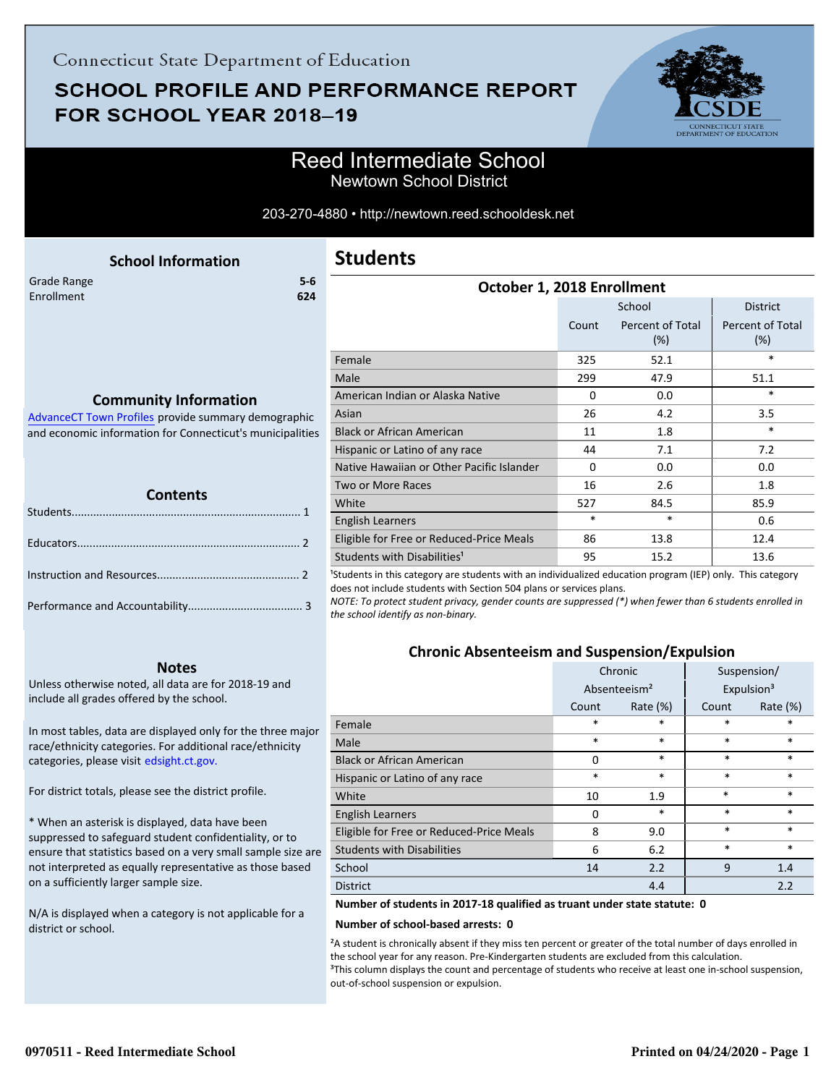# **SCHOOL PROFILE AND PERFORMANCE REPORT** FOR SCHOOL YEAR 2018-19



## Reed Intermediate School Newtown School District

#### 203-270-4880 • http://newtown.reed.schooldesk.net

<span id="page-0-0"></span>

|             | <b>School Information</b> |       |
|-------------|---------------------------|-------|
| Grade Range |                           | $5-6$ |
| Enrollment  |                           | 624   |
|             |                           |       |
|             |                           |       |

### **Students**

| October 1, 2018 Enrollment                |          |                         |                                |  |  |
|-------------------------------------------|----------|-------------------------|--------------------------------|--|--|
|                                           |          | School                  | <b>District</b>                |  |  |
|                                           | Count    | Percent of Total<br>(%) | <b>Percent of Total</b><br>(%) |  |  |
| Female                                    | 325      | 52.1                    | *                              |  |  |
| Male                                      | 299      | 47.9                    | 51.1                           |  |  |
| American Indian or Alaska Native          | $\Omega$ | 0.0                     | $\ast$                         |  |  |
| Asian                                     | 26       | 4.2                     | 3.5                            |  |  |
| <b>Black or African American</b>          | 11       | 1.8                     | $\ast$                         |  |  |
| Hispanic or Latino of any race            | 44       | 7.1                     | 7.2                            |  |  |
| Native Hawaiian or Other Pacific Islander | $\Omega$ | 0.0                     | 0.0                            |  |  |
| <b>Two or More Races</b>                  | 16       | 2.6                     | 1.8                            |  |  |
| White                                     | 527      | 84.5                    | 85.9                           |  |  |
| <b>English Learners</b>                   | $\ast$   | *                       | 0.6                            |  |  |
| Eligible for Free or Reduced-Price Meals  | 86       | 13.8                    | 12.4                           |  |  |
| Students with Disabilities <sup>1</sup>   | 95       | 15.2                    | 13.6                           |  |  |
|                                           |          |                         |                                |  |  |

<sup>1</sup>Students in this category are students with an individualized education program (IEP) only. This category does not include students with Section 504 plans or services plans.

*NOTE: To protect student privacy, gender counts are suppressed (\*) when fewer than 6 students enrolled in the school identify as non-binary.*

### **Chronic Absenteeism and Suspension/Expulsion**

|                                          | Chronic     |                          |        | Suspension/            |
|------------------------------------------|-------------|--------------------------|--------|------------------------|
|                                          |             | Absenteeism <sup>2</sup> |        | Expulsion <sup>3</sup> |
|                                          | Count       | Rate $(\%)$              | Count  | Rate $(\%)$            |
| Female                                   | $\ast$      | $\ast$                   | *      | $\ast$                 |
| Male                                     | $\ast$      | $\ast$                   | *      | $\ast$                 |
| <b>Black or African American</b>         | $\Omega$    | $\ast$                   | $\ast$ | $\ast$                 |
| Hispanic or Latino of any race           | $\ast$      | $\ast$                   | $\ast$ | $\ast$                 |
| White                                    | 10          | 1.9                      | *      | $\ast$                 |
| <b>English Learners</b>                  | $\mathbf 0$ | $\ast$                   | $\ast$ | $\ast$                 |
| Eligible for Free or Reduced-Price Meals | 8           | 9.0                      | *      | $\ast$                 |
| <b>Students with Disabilities</b>        | 6           | 6.2                      | $\ast$ | $\ast$                 |
| School                                   | 14          | 2.2                      | 9      | 1.4                    |
| <b>District</b>                          |             | 4.4                      |        | 2.2                    |

**Number of students in 2017-18 qualified as truant under state statute: 0**

#### **Number of school-based arrests: 0**

²A student is chronically absent if they miss ten percent or greater of the total number of days enrolled in the school year for any reason. Pre-Kindergarten students are excluded from this calculation. <sup>3</sup>This column displays the count and percentage of students who receive at least one in-school suspension, out-of-school suspension or expulsion.

### **Community Information**

AdvanceCT Town Profiles provide summary demographic  [and economic information for Connecticut's municipalities](http://www.cerc.com/townprofiles/)

| <b>TELERA</b><br><b>Contents</b> |  |  |  |  |
|----------------------------------|--|--|--|--|
|                                  |  |  |  |  |
|                                  |  |  |  |  |
|                                  |  |  |  |  |
|                                  |  |  |  |  |
|                                  |  |  |  |  |
|                                  |  |  |  |  |
|                                  |  |  |  |  |

#### **Notes**

Unless otherwise noted, all data are for 2018-19 and include all grades offered by the school.

[In most tables, data are displayed only for the three major](http://edsight.ct.gov/) race/ethnicity categories. For additional race/ethnicity categories, please visit edsight.ct.gov.

For district totals, please see the district profile.

\* When an asterisk is displayed, data have been suppressed to safeguard student confidentiality, or to ensure that statistics based on a very small sample size are not interpreted as equally representative as those based on a sufficiently larger sample size.

N/A is displayed when a category is not applicable for a district or school.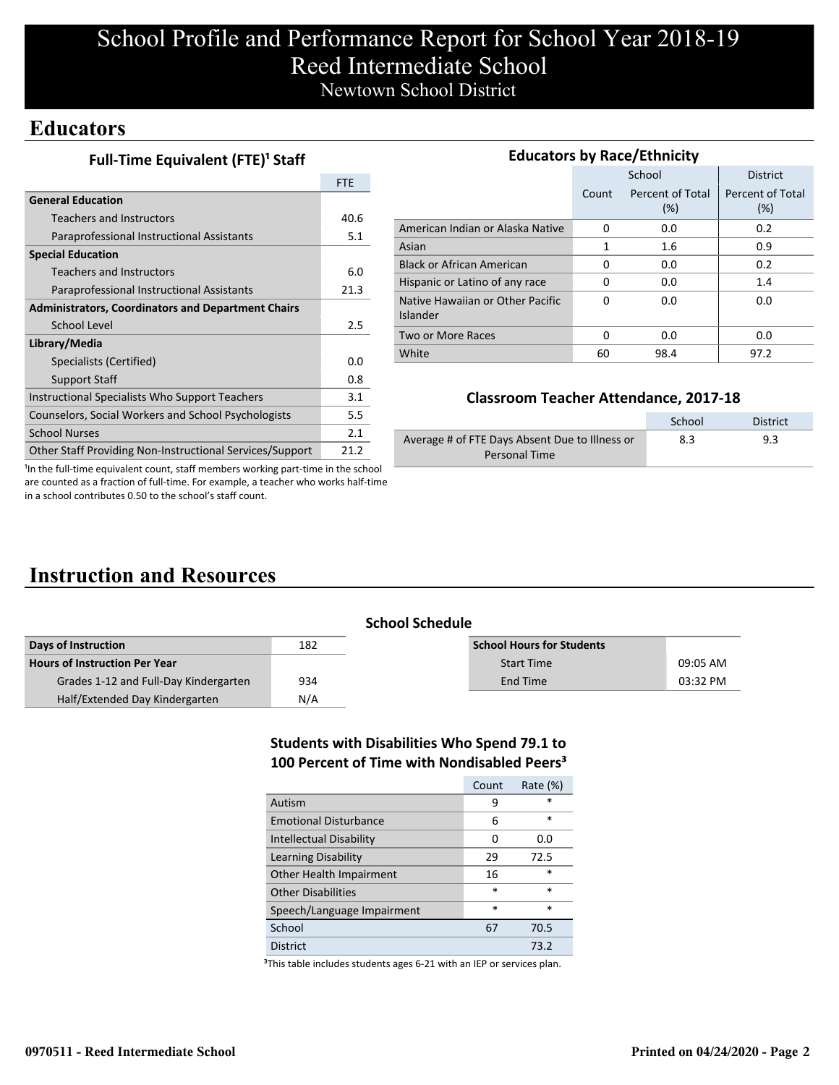# School Profile and Performance Report for School Year 2018-19 Reed Intermediate School Newtown School District

## **Educators**

|  | Full-Time Equivalent (FTE) <sup>1</sup> Staff |  |
|--|-----------------------------------------------|--|
|--|-----------------------------------------------|--|

|                                                           | <b>FTE</b> |
|-----------------------------------------------------------|------------|
| <b>General Education</b>                                  |            |
| Teachers and Instructors                                  | 40.6       |
| Paraprofessional Instructional Assistants                 | 5.1        |
| <b>Special Education</b>                                  |            |
| Teachers and Instructors                                  | 6.0        |
| Paraprofessional Instructional Assistants                 | 21.3       |
| <b>Administrators, Coordinators and Department Chairs</b> |            |
| School Level                                              | 2.5        |
| Library/Media                                             |            |
| Specialists (Certified)                                   | 0.O        |
| <b>Support Staff</b>                                      | 0.8        |
| Instructional Specialists Who Support Teachers            | 3.1        |
| Counselors, Social Workers and School Psychologists       | 5.5        |
| <b>School Nurses</b>                                      | 2.1        |
| Other Staff Providing Non-Instructional Services/Support  | 21.2       |

| <b>Educators by Race/Ethnicity</b>           |              |                         |                         |  |  |  |
|----------------------------------------------|--------------|-------------------------|-------------------------|--|--|--|
|                                              |              | School                  | <b>District</b>         |  |  |  |
|                                              | Count        | Percent of Total<br>(%) | Percent of Total<br>(%) |  |  |  |
| American Indian or Alaska Native             | 0            | 0.0                     | 0.2                     |  |  |  |
| Asian                                        | $\mathbf{1}$ | 1.6                     | 0.9                     |  |  |  |
| <b>Black or African American</b>             | 0            | 0.0                     | 0.2                     |  |  |  |
| Hispanic or Latino of any race               | 0            | 0.0                     | 1.4                     |  |  |  |
| Native Hawaiian or Other Pacific<br>Islander | U            | 0.0                     | 0.0                     |  |  |  |
| Two or More Races                            | O            | 0.0                     | 0.0                     |  |  |  |
| White                                        | 60           | 98.4                    | 97.2                    |  |  |  |

### **Classroom Teacher Attendance, 2017-18**

|                                                | School | District |
|------------------------------------------------|--------|----------|
| Average # of FTE Days Absent Due to Illness or | 8.3    | 9.3      |
| Personal Time                                  |        |          |

<sup>1</sup>In the full-time equivalent count, staff members working part-time in the school are counted as a fraction of full-time. For example, a teacher who works half-time in a school contributes 0.50 to the school's staff count.

# **Instruction and Resources**

|                                       | <b>School Schedule</b> |                                  |          |  |
|---------------------------------------|------------------------|----------------------------------|----------|--|
| Days of Instruction                   | 182                    | <b>School Hours for Students</b> |          |  |
| Hours of Instruction Per Year         |                        | <b>Start Time</b>                | 09:05 AM |  |
| Grades 1-12 and Full-Day Kindergarten | 934                    | End Time                         | 03:32 PM |  |
| Half/Extended Day Kindergarten        | N/A                    |                                  |          |  |

### **Students with Disabilities Who Spend 79.1 to 100 Percent of Time with Nondisabled Peers³**

|                                | Count  | Rate $(\%)$ |
|--------------------------------|--------|-------------|
| Autism                         | 9      | *           |
| <b>Emotional Disturbance</b>   | 6      | $\ast$      |
| <b>Intellectual Disability</b> | O      | 0.O         |
| Learning Disability            | 29     | 72.5        |
| Other Health Impairment        | 16     | $\ast$      |
| <b>Other Disabilities</b>      | $\ast$ | $\ast$      |
| Speech/Language Impairment     | $\ast$ | $\ast$      |
| School                         | 67     | 70.5        |
| District                       |        | 73.2        |

<sup>3</sup>This table includes students ages 6-21 with an IEP or services plan.

#### **0970511 - Reed Intermediate School Printed on 04/24/2020 - Page 2**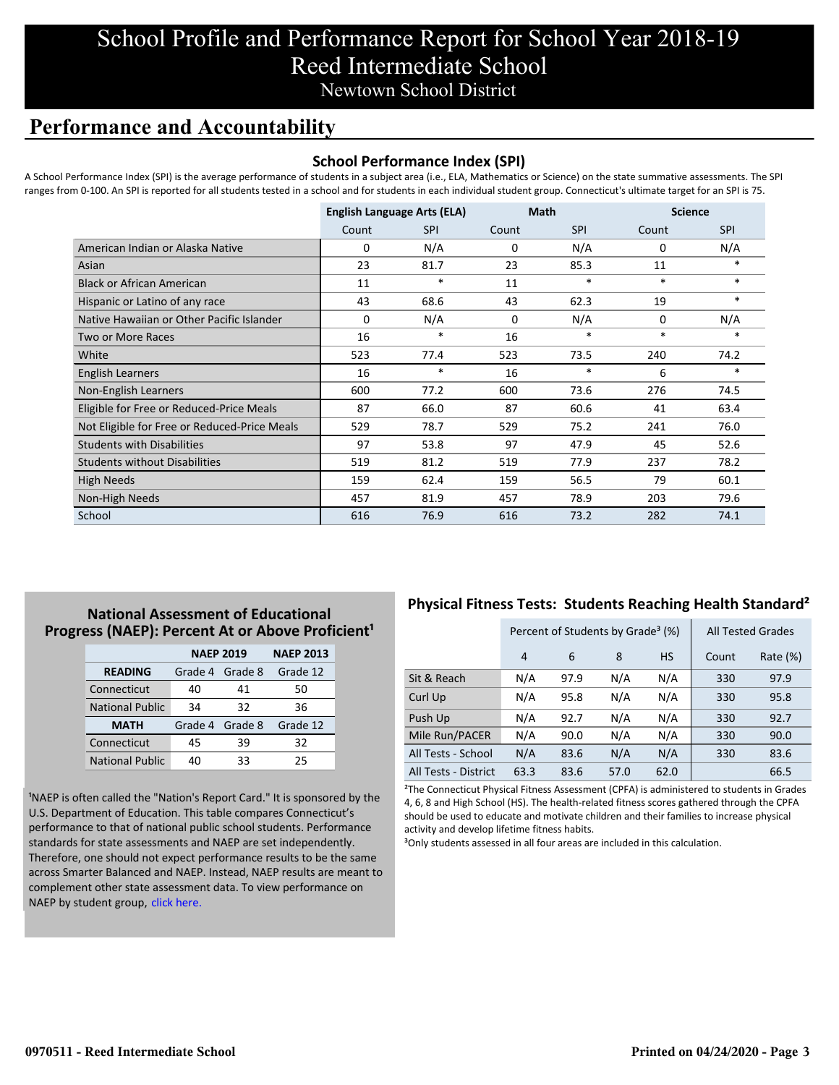# School Profile and Performance Report for School Year 2018-19 Reed Intermediate School Newtown School District

## **Performance and Accountability**

### **School Performance Index (SPI)**

A School Performance Index (SPI) is the average performance of students in a subject area (i.e., ELA, Mathematics or Science) on the state summative assessments. The SPI ranges from 0-100. An SPI is reported for all students tested in a school and for students in each individual student group. Connecticut's ultimate target for an SPI is 75.

|                                              | <b>English Language Arts (ELA)</b> |            | <b>Math</b> |            | <b>Science</b> |            |
|----------------------------------------------|------------------------------------|------------|-------------|------------|----------------|------------|
|                                              | Count                              | <b>SPI</b> | Count       | <b>SPI</b> | Count          | <b>SPI</b> |
| American Indian or Alaska Native             | 0                                  | N/A        | 0           | N/A        | 0              | N/A        |
| Asian                                        | 23                                 | 81.7       | 23          | 85.3       | 11             | $*$        |
| <b>Black or African American</b>             | 11                                 | $\ast$     | 11          | $\ast$     | $\ast$         | $\ast$     |
| Hispanic or Latino of any race               | 43                                 | 68.6       | 43          | 62.3       | 19             | $\ast$     |
| Native Hawaiian or Other Pacific Islander    | 0                                  | N/A        | 0           | N/A        | 0              | N/A        |
| Two or More Races                            | 16                                 | $\ast$     | 16          | $\ast$     | $\ast$         | $\ast$     |
| White                                        | 523                                | 77.4       | 523         | 73.5       | 240            | 74.2       |
| English Learners                             | 16                                 | $\ast$     | 16          | $\ast$     | 6              | $*$        |
| Non-English Learners                         | 600                                | 77.2       | 600         | 73.6       | 276            | 74.5       |
| Eligible for Free or Reduced-Price Meals     | 87                                 | 66.0       | 87          | 60.6       | 41             | 63.4       |
| Not Eligible for Free or Reduced-Price Meals | 529                                | 78.7       | 529         | 75.2       | 241            | 76.0       |
| <b>Students with Disabilities</b>            | 97                                 | 53.8       | 97          | 47.9       | 45             | 52.6       |
| <b>Students without Disabilities</b>         | 519                                | 81.2       | 519         | 77.9       | 237            | 78.2       |
| <b>High Needs</b>                            | 159                                | 62.4       | 159         | 56.5       | 79             | 60.1       |
| Non-High Needs                               | 457                                | 81.9       | 457         | 78.9       | 203            | 79.6       |
| School                                       | 616                                | 76.9       | 616         | 73.2       | 282            | 74.1       |

### **National Assessment of Educational Progress (NAEP): Percent At or Above Proficient<sup>1</sup>**

|                        | <b>NAEP 2019</b> | <b>NAEP 2013</b> |          |
|------------------------|------------------|------------------|----------|
| <b>READING</b>         | Grade 4 Grade 8  |                  | Grade 12 |
| Connecticut            | 40               | 41               | 50       |
| <b>National Public</b> | 34               | 32               | 36       |
| <b>MATH</b>            | Grade 4 Grade 8  |                  | Grade 12 |
| Connecticut            | 45               | 39               | 32       |
| <b>National Public</b> | 40               | 33               | 25       |

<sup>1</sup>NAEP is often called the "Nation's Report Card." It is sponsored by the U.S. Department of Education. This table compares Connecticut's performance to that of national public school students. Performance standards for state assessments and NAEP are set independently. Therefore, one should not expect performance results to be the same [across Smarter Balanced and NAEP. Instead, NAEP results are meant to](https://portal.ct.gov/-/media/SDE/Student-Assessment/NAEP/report-card_NAEP-2019.pdf?la=en) complement other state assessment data. To view performance on NAEP by student group, click here.

### **Physical Fitness Tests: Students Reaching Health Standard²**

|                      | Percent of Students by Grade <sup>3</sup> (%) |      |      |           | <b>All Tested Grades</b> |          |
|----------------------|-----------------------------------------------|------|------|-----------|--------------------------|----------|
|                      | 4                                             | 6    | 8    | <b>HS</b> | Count                    | Rate (%) |
| Sit & Reach          | N/A                                           | 97.9 | N/A  | N/A       | 330                      | 97.9     |
| Curl Up              | N/A                                           | 95.8 | N/A  | N/A       | 330                      | 95.8     |
| Push Up              | N/A                                           | 92.7 | N/A  | N/A       | 330                      | 92.7     |
| Mile Run/PACER       | N/A                                           | 90.0 | N/A  | N/A       | 330                      | 90.0     |
| All Tests - School   | N/A                                           | 83.6 | N/A  | N/A       | 330                      | 83.6     |
| All Tests - District | 63.3                                          | 83.6 | 57.0 | 62.0      |                          | 66.5     |

²The Connecticut Physical Fitness Assessment (CPFA) is administered to students in Grades 4, 6, 8 and High School (HS). The health-related fitness scores gathered through the CPFA should be used to educate and motivate children and their families to increase physical activity and develop lifetime fitness habits.

<sup>3</sup>Only students assessed in all four areas are included in this calculation.